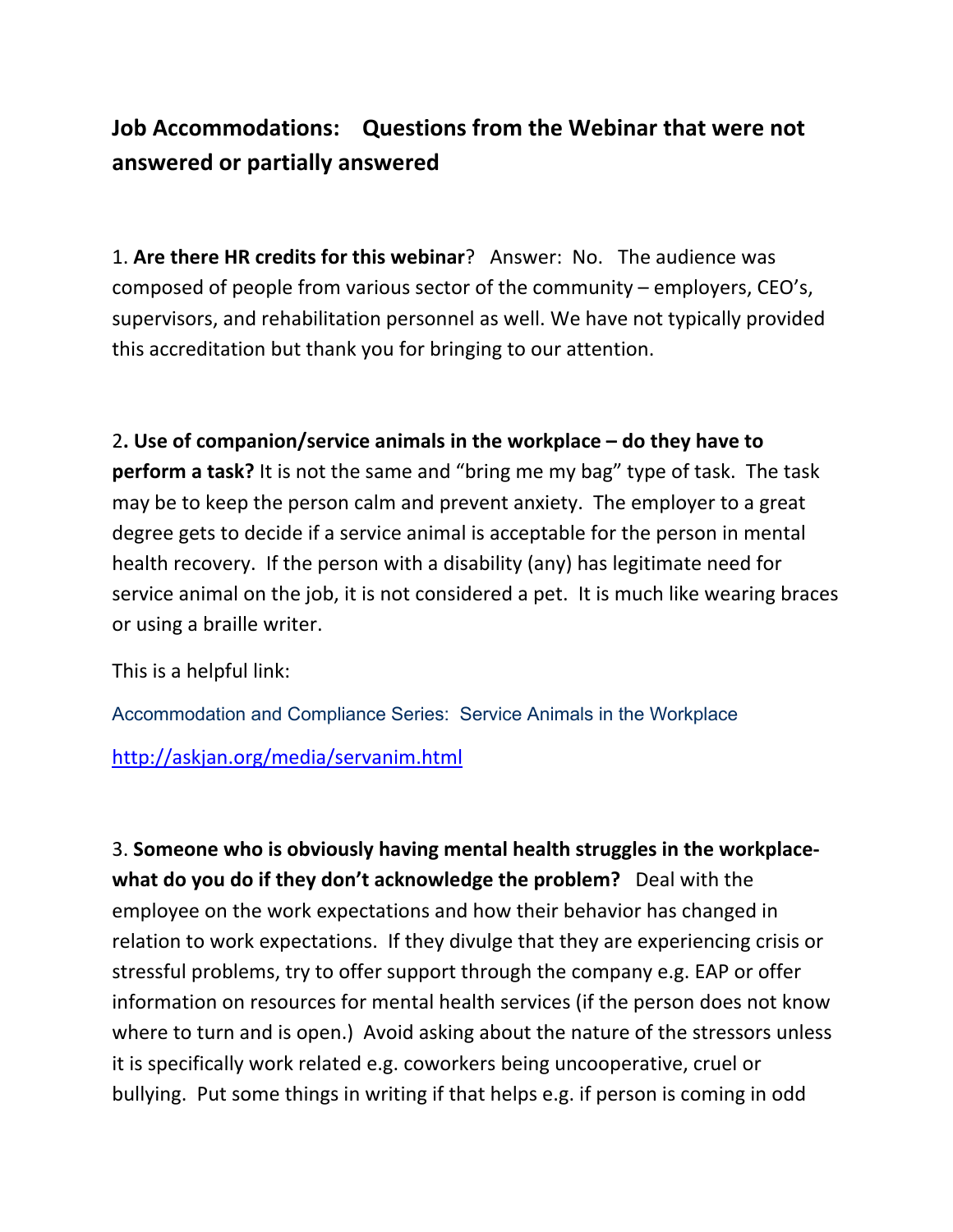## Job Accommodations: Questions from the Webinar that were not answered or partially answered

1. Are there HR credits for this webinar? Answer: No. The audience was composed of people from various sector of the community  $-$  employers, CEO's, supervisors, and rehabilitation personnel as well. We have not typically provided this accreditation but thank you for bringing to our attention.

2. Use of companion/service animals in the workplace  $-$  do they have to perform a task? It is not the same and "bring me my bag" type of task. The task may be to keep the person calm and prevent anxiety. The employer to a great degree gets to decide if a service animal is acceptable for the person in mental health recovery. If the person with a disability (any) has legitimate need for service animal on the job, it is not considered a pet. It is much like wearing braces or using a braille writer.

This is a helpful link:

Accommodation and Compliance Series: Service Animals in the Workplace

http://askjan.org/media/servanim.html

3. Someone who is obviously having mental health struggles in the workplacewhat do you do if they don't acknowledge the problem? Deal with the employee on the work expectations and how their behavior has changed in relation to work expectations. If they divulge that they are experiencing crisis or stressful problems, try to offer support through the company e.g. EAP or offer information on resources for mental health services (if the person does not know where to turn and is open.) Avoid asking about the nature of the stressors unless it is specifically work related e.g. coworkers being uncooperative, cruel or bullying. Put some things in writing if that helps e.g. if person is coming in odd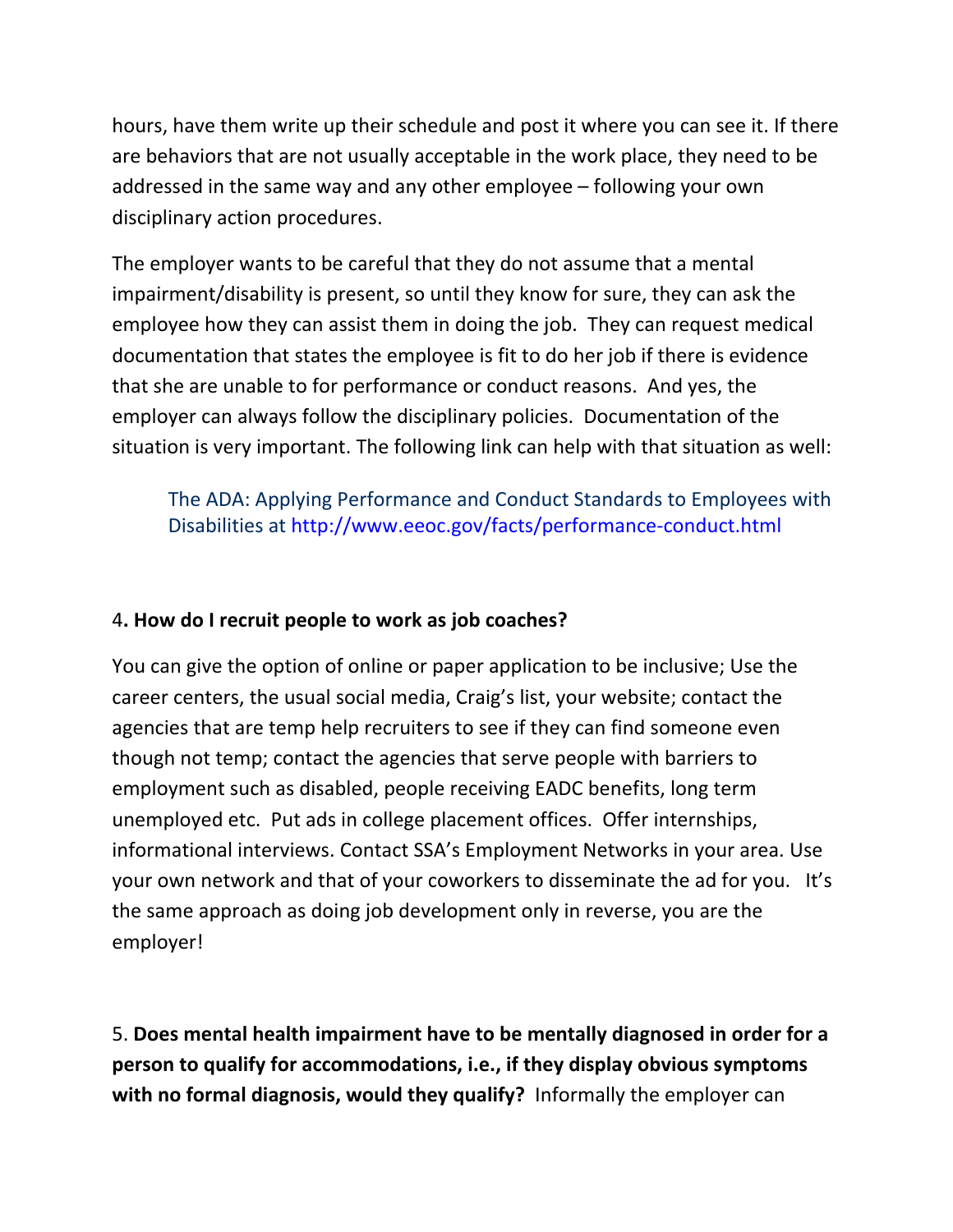hours, have them write up their schedule and post it where you can see it. If there are behaviors that are not usually acceptable in the work place, they need to be addressed in the same way and any other employee – following your own disciplinary action procedures.

The employer wants to be careful that they do not assume that a mental impairment/disability is present, so until they know for sure, they can ask the employee how they can assist them in doing the job. They can request medical documentation that states the employee is fit to do her job if there is evidence that she are unable to for performance or conduct reasons. And yes, the employer can always follow the disciplinary policies. Documentation of the situation is very important. The following link can help with that situation as well:

The ADA: Applying Performance and Conduct Standards to Employees with Disabilities at http://www.eeoc.gov/facts/performance-conduct.html

## 4. How do I recruit people to work as job coaches?

You can give the option of online or paper application to be inclusive; Use the career centers, the usual social media, Craig's list, your website; contact the agencies that are temp help recruiters to see if they can find someone even though not temp; contact the agencies that serve people with barriers to employment such as disabled, people receiving EADC benefits, long term unemployed etc. Put ads in college placement offices. Offer internships, informational interviews. Contact SSA's Employment Networks in your area. Use your own network and that of your coworkers to disseminate the ad for you. It's the same approach as doing job development only in reverse, you are the employer!

5. Does mental health impairment have to be mentally diagnosed in order for a **person to qualify for accommodations, i.e., if they display obvious symptoms with no formal diagnosis, would they qualify?** Informally the employer can